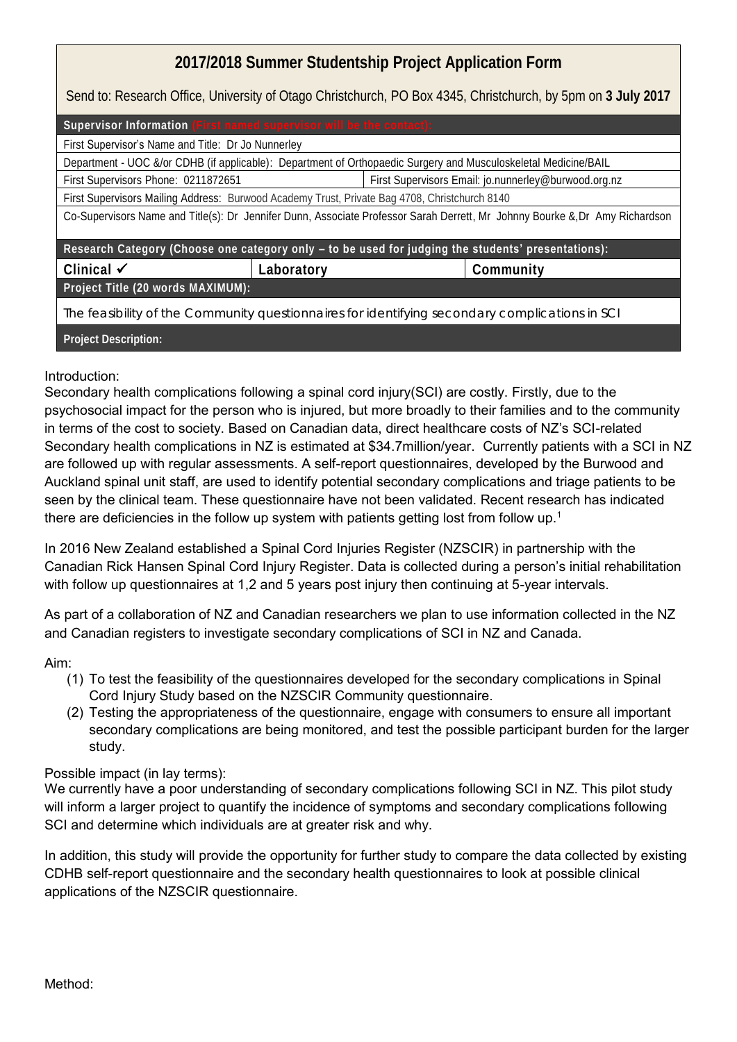## **2017/2018 Summer Studentship Project Application Form**

Send to: Research Office, University of Otago Christchurch, PO Box 4345, Christchurch, by 5pm on **3 July 2017**

| Supervisor Information (First named supervisor will be the contact):                                                        |            |                                                      |           |
|-----------------------------------------------------------------------------------------------------------------------------|------------|------------------------------------------------------|-----------|
| First Supervisor's Name and Title: Dr Jo Nunnerley                                                                          |            |                                                      |           |
| Department - UOC &/or CDHB (if applicable): Department of Orthopaedic Surgery and Musculoskeletal Medicine/BAIL             |            |                                                      |           |
| First Supervisors Phone: 0211872651                                                                                         |            | First Supervisors Email: jo.nunnerley@burwood.org.nz |           |
| First Supervisors Mailing Address: Burwood Academy Trust, Private Bag 4708, Christchurch 8140                               |            |                                                      |           |
| Co-Supervisors Name and Title(s): Dr Jennifer Dunn, Associate Professor Sarah Derrett, Mr Johnny Bourke & Dr Amy Richardson |            |                                                      |           |
|                                                                                                                             |            |                                                      |           |
| Research Category (Choose one category only - to be used for judging the students' presentations):                          |            |                                                      |           |
| Clinical $\checkmark$                                                                                                       | Laboratory |                                                      | Community |
| Project Title (20 words MAXIMUM):                                                                                           |            |                                                      |           |
| The feasibility of the Community questionnaires for identifying secondary complications in SCI                              |            |                                                      |           |
| Project Description:                                                                                                        |            |                                                      |           |

Introduction:

Secondary health complications following a spinal cord injury(SCI) are costly. Firstly, due to the psychosocial impact for the person who is injured, but more broadly to their families and to the community in terms of the cost to society. Based on Canadian data, direct healthcare costs of NZ's SCI-related Secondary health complications in NZ is estimated at \$34.7million/year. Currently patients with a SCI in NZ are followed up with regular assessments. A self-report questionnaires, developed by the Burwood and Auckland spinal unit staff, are used to identify potential secondary complications and triage patients to be seen by the clinical team. These questionnaire have not been validated. Recent research has indicated there are deficiencies in the follow up system with patients getting lost from follow up.<sup>1</sup>

In 2016 New Zealand established a Spinal Cord Injuries Register (NZSCIR) in partnership with the Canadian Rick Hansen Spinal Cord Injury Register. Data is collected during a person's initial rehabilitation with follow up questionnaires at 1,2 and 5 years post injury then continuing at 5-year intervals.

As part of a collaboration of NZ and Canadian researchers we plan to use information collected in the NZ and Canadian registers to investigate secondary complications of SCI in NZ and Canada.

Aim:

- (1) To test the feasibility of the questionnaires developed for the secondary complications in Spinal Cord Injury Study based on the NZSCIR Community questionnaire.
- (2) Testing the appropriateness of the questionnaire, engage with consumers to ensure all important secondary complications are being monitored, and test the possible participant burden for the larger study.

## Possible impact (in lay terms):

We currently have a poor understanding of secondary complications following SCI in NZ. This pilot study will inform a larger project to quantify the incidence of symptoms and secondary complications following SCI and determine which individuals are at greater risk and why.

In addition, this study will provide the opportunity for further study to compare the data collected by existing CDHB self-report questionnaire and the secondary health questionnaires to look at possible clinical applications of the NZSCIR questionnaire.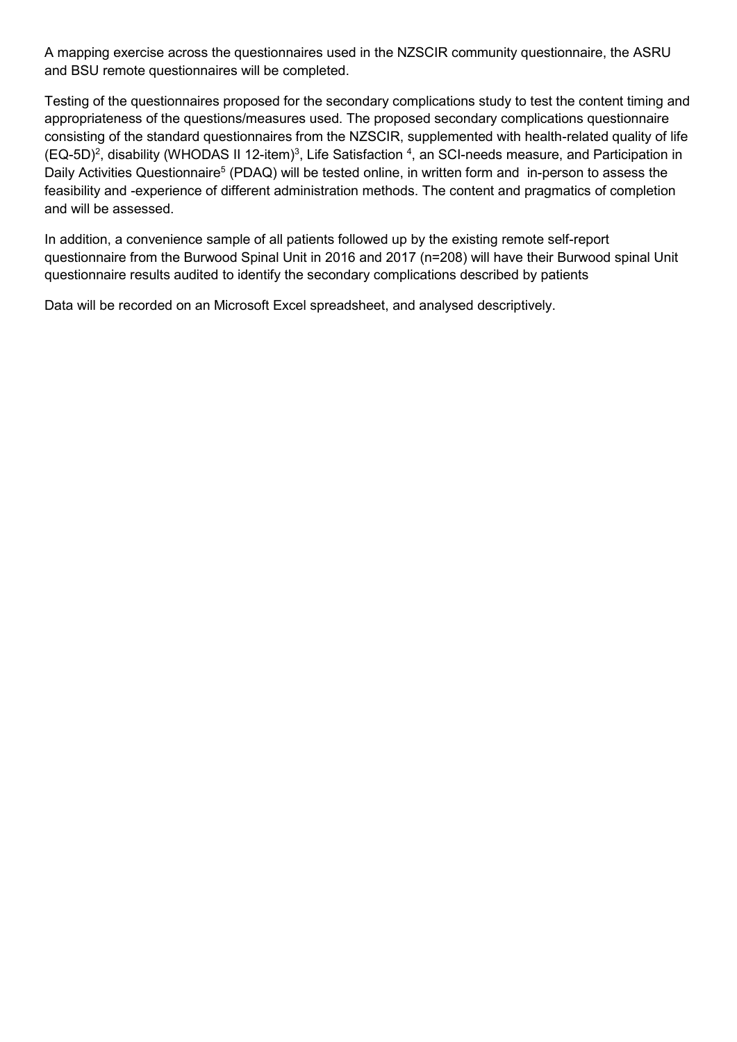A mapping exercise across the questionnaires used in the NZSCIR community questionnaire, the ASRU and BSU remote questionnaires will be completed.

Testing of the questionnaires proposed for the secondary complications study to test the content timing and appropriateness of the questions/measures used. The proposed secondary complications questionnaire consisting of the standard questionnaires from the NZSCIR, supplemented with health-related quality of life  $(EQ-5D)^2$ , disability (WHODAS II 12-item)<sup>3</sup>, Life Satisfaction <sup>4</sup>, an SCI-needs measure, and Participation in Daily Activities Questionnaire<sup>5</sup> (PDAQ) will be tested online, in written form and in-person to assess the feasibility and -experience of different administration methods. The content and pragmatics of completion and will be assessed.

In addition, a convenience sample of all patients followed up by the existing remote self-report questionnaire from the Burwood Spinal Unit in 2016 and 2017 (n=208) will have their Burwood spinal Unit questionnaire results audited to identify the secondary complications described by patients

Data will be recorded on an Microsoft Excel spreadsheet, and analysed descriptively.